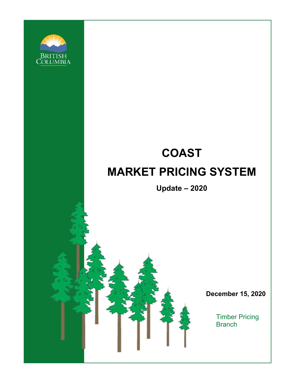

# **COAST MARKET PRICING SYSTEM**

**Update – 2020**

**December 15, 2020**

Timber Pricing **Branch**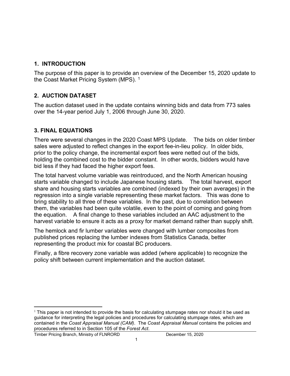### **1. INTRODUCTION**

The purpose of this paper is to provide an overview of the December 15, 2020 update to the Coast Market Pricing System (MPS).<sup>[1](#page-1-0)</sup>

## **2. AUCTION DATASET**

The auction dataset used in the update contains winning bids and data from 773 sales over the 14-year period July 1, 2006 through June 30, 2020.

# **3. FINAL EQUATIONS**

There were several changes in the 2020 Coast MPS Update. The bids on older timber sales were adjusted to reflect changes in the export fee-in-lieu policy. In older bids, prior to the policy change, the incremental export fees were netted out of the bids, holding the combined cost to the bidder constant. In other words, bidders would have bid less if they had faced the higher export fees.

The total harvest volume variable was reintroduced, and the North American housing starts variable changed to include Japanese housing starts. The total harvest, export share and housing starts variables are combined (indexed by their own averages) in the regression into a single variable representing these market factors. This was done to bring stability to all three of these variables. In the past, due to correlation between them, the variables had been quite volatile, even to the point of coming and going from the equation. A final change to these variables included an AAC adjustment to the harvest variable to ensure it acts as a proxy for market demand rather than supply shift.

The hemlock and fir lumber variables were changed with lumber composites from published prices replacing the lumber indexes from Statistics Canada, better representing the product mix for coastal BC producers.

Finally, a fibre recovery zone variable was added (where applicable) to recognize the policy shift between current implementation and the auction dataset.

Timber Pricing Branch, Ministry of FLNRORD December 15, 2020

<span id="page-1-0"></span> $1$  This paper is not intended to provide the basis for calculating stumpage rates nor should it be used as guidance for interpreting the legal policies and procedures for calculating stumpage rates, which are contained in the *Coast Appraisal Manual (CAM)*. The *Coast Appraisal Manual* contains the policies and procedures referred to in Section 105 of the *Forest Act*.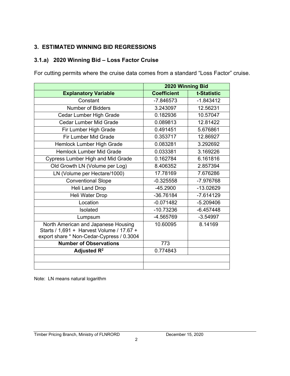# **3. ESTIMATED WINNING BID REGRESSIONS**

## **3.1.a) 2020 Winning Bid – Loss Factor Cruise**

For cutting permits where the cruise data comes from a standard "Loss Factor" cruise.

|                                                                                                                               | 2020 Winning Bid   |             |
|-------------------------------------------------------------------------------------------------------------------------------|--------------------|-------------|
| <b>Explanatory Variable</b>                                                                                                   | <b>Coefficient</b> | t-Statistic |
| Constant                                                                                                                      | $-7.846573$        | $-1.843412$ |
| Number of Bidders                                                                                                             | 3.243097           | 12.56231    |
| Cedar Lumber High Grade                                                                                                       | 0.182936           | 10.57047    |
| Cedar Lumber Mid Grade                                                                                                        | 0.089813           | 12.81422    |
| Fir Lumber High Grade                                                                                                         | 0.491451           | 5.676861    |
| Fir Lumber Mid Grade                                                                                                          | 0.353717           | 12.86927    |
| Hemlock Lumber High Grade                                                                                                     | 0.083281           | 3.292692    |
| <b>Hemlock Lumber Mid Grade</b>                                                                                               | 0.033381           | 3.169226    |
| <b>Cypress Lumber High and Mid Grade</b>                                                                                      | 0.162784           | 6.161816    |
| Old Growth LN (Volume per Log)                                                                                                | 8.406352           | 2.857394    |
| LN (Volume per Hectare/1000)                                                                                                  | 17.78169           | 7.676286    |
| <b>Conventional Slope</b>                                                                                                     | $-0.325558$        | -7.976768   |
| <b>Heli Land Drop</b>                                                                                                         | $-45.2900$         | $-13.02629$ |
| Heli Water Drop                                                                                                               | -36.76184          | $-7.614129$ |
| Location                                                                                                                      | $-0.071482$        | $-5.209406$ |
| Isolated                                                                                                                      | $-10.73236$        | $-6.457448$ |
| Lumpsum                                                                                                                       | -4.565769          | $-3.54997$  |
| North American and Japanese Housing<br>Starts / 1,691 + Harvest Volume / 17.67 +<br>export share * Non-Cedar-Cypress / 0.3004 | 10.60095           | 8.14169     |
| <b>Number of Observations</b>                                                                                                 | 773                |             |
| Adjusted $R^2$                                                                                                                | 0.774843           |             |
|                                                                                                                               |                    |             |
|                                                                                                                               |                    |             |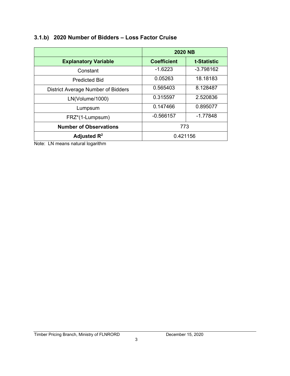## **3.1.b) 2020 Number of Bidders – Loss Factor Cruise**

|                                           | <b>2020 NB</b>     |             |
|-------------------------------------------|--------------------|-------------|
| <b>Explanatory Variable</b>               | <b>Coefficient</b> | t-Statistic |
| Constant                                  | $-1.6223$          | $-3.798162$ |
| <b>Predicted Bid</b>                      | 0.05263            | 18.18183    |
| <b>District Average Number of Bidders</b> | 0.565403           | 8.128487    |
| LN(Volume/1000)                           | 0.315597           | 2.520836    |
| Lumpsum                                   | 0.147466           | 0.895077    |
| FRZ*(1-Lumpsum)                           | $-0.566157$        | $-1.77848$  |
| <b>Number of Observations</b>             | 773                |             |
| Adjusted $\mathsf{R}^2$                   | 0.421156           |             |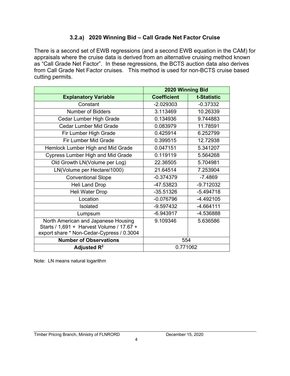# **3.2.a) 2020 Winning Bid – Call Grade Net Factor Cruise**

There is a second set of EWB regressions (and a second EWB equation in the CAM) for appraisals where the cruise data is derived from an alternative cruising method known as "Call Grade Net Factor". In these regressions, the BCTS auction data also derives from Call Grade Net Factor cruises. This method is used for non-BCTS cruise based cutting permits.

|                                                                                                                               | 2020 Winning Bid   |             |
|-------------------------------------------------------------------------------------------------------------------------------|--------------------|-------------|
| <b>Explanatory Variable</b>                                                                                                   | <b>Coefficient</b> | t-Statistic |
| Constant                                                                                                                      | $-2.029303$        | $-0.37332$  |
| <b>Number of Bidders</b>                                                                                                      | 3.113469           | 10.26339    |
| Cedar Lumber High Grade                                                                                                       | 0.134936           | 9.744883    |
| <b>Cedar Lumber Mid Grade</b>                                                                                                 | 0.083979           | 11.78591    |
| Fir Lumber High Grade                                                                                                         | 0.425914           | 6.252799    |
| <b>Fir Lumber Mid Grade</b>                                                                                                   | 0.399515           | 12.72938    |
| Hemlock Lumber High and Mid Grade                                                                                             | 0.047151           | 5.341207    |
| <b>Cypress Lumber High and Mid Grade</b>                                                                                      | 0.119119           | 5.564268    |
| Old Growth LN(Volume per Log)                                                                                                 | 22.36505           | 5.704981    |
| LN(Volume per Hectare/1000)                                                                                                   | 21.64514           | 7.253904    |
| <b>Conventional Slope</b>                                                                                                     | $-0.374379$        | $-7.4869$   |
| Heli Land Drop                                                                                                                | -47.53823          | $-9.712032$ |
| Heli Water Drop                                                                                                               | $-35.51326$        | $-5.494718$ |
| Location                                                                                                                      | $-0.076796$        | $-4.492105$ |
| Isolated                                                                                                                      | $-9.597432$        | $-4.664111$ |
| Lumpsum                                                                                                                       | $-6.943917$        | -4.536888   |
| North American and Japanese Housing<br>Starts / 1,691 + Harvest Volume / 17.67 +<br>export share * Non-Cedar-Cypress / 0.3004 | 9.109346           | 5.636586    |
| <b>Number of Observations</b>                                                                                                 | 554                |             |
| Adjusted $\mathsf{R}^2$                                                                                                       | 0.771062           |             |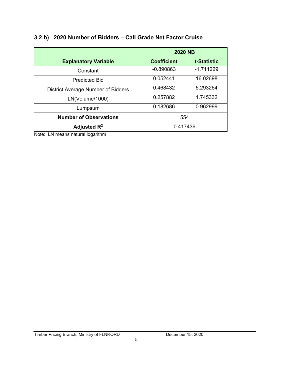|                                           | <b>2020 NB</b>     |             |
|-------------------------------------------|--------------------|-------------|
| <b>Explanatory Variable</b>               | <b>Coefficient</b> | t-Statistic |
| Constant                                  | $-0.890863$        | $-1.711229$ |
| <b>Predicted Bid</b>                      | 0.052441           | 16.02698    |
| <b>District Average Number of Bidders</b> | 0.468432           | 5.293264    |
| LN(Volume/1000)                           | 0.257882           | 1.745332    |
| Lumpsum                                   | 0.182686           | 0.962999    |
| <b>Number of Observations</b>             | 554                |             |
| Adjusted $\mathsf{R}^2$                   | 0.417439           |             |

## **3.2.b) 2020 Number of Bidders – Call Grade Net Factor Cruise**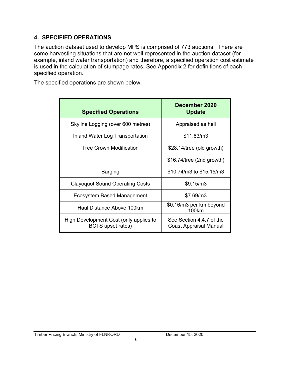# **4. SPECIFIED OPERATIONS**

The auction dataset used to develop MPS is comprised of 773 auctions. There are some harvesting situations that are not well represented in the auction dataset (for example, inland water transportation) and therefore, a specified operation cost estimate is used in the calculation of stumpage rates. See Appendix 2 for definitions of each specified operation.

The specified operations are shown below.

| <b>Specified Operations</b>                                        | December 2020<br><b>Update</b>                     |
|--------------------------------------------------------------------|----------------------------------------------------|
| Skyline Logging (over 600 metres)                                  | Appraised as heli                                  |
| Inland Water Log Transportation                                    | \$11.83/m3                                         |
| <b>Tree Crown Modification</b>                                     | \$28.14/tree (old growth)                          |
|                                                                    | $$16.74$ /tree (2nd growth)                        |
| Barging                                                            | \$10.74/m3 to \$15.15/m3                           |
| <b>Clayoquot Sound Operating Costs</b>                             | \$9.15/m3                                          |
| Ecosystem Based Management                                         | \$7.69/m3                                          |
| Haul Distance Above 100km                                          | \$0.16/m3 per km beyond<br>100km                   |
| High Development Cost (only applies to<br><b>BCTS</b> upset rates) | See Section 4.4.7 of the<br>Coast Appraisal Manual |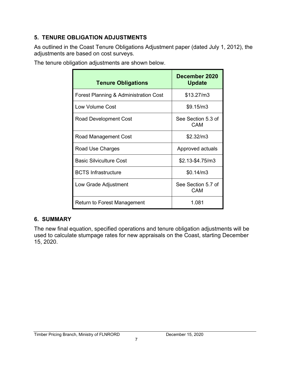# **5. TENURE OBLIGATION ADJUSTMENTS**

As outlined in the Coast Tenure Obligations Adjustment paper (dated July 1, 2012), the adjustments are based on cost surveys.

The tenure obligation adjustments are shown below.

| <b>Tenure Obligations</b>             | December 2020<br><b>Update</b>   |
|---------------------------------------|----------------------------------|
| Forest Planning & Administration Cost | \$13.27/m3                       |
| Low Volume Cost                       | \$9.15/m3                        |
| Road Development Cost                 | See Section 5.3 of<br>CAM        |
| Road Management Cost                  | \$2.32/m3                        |
| Road Use Charges                      | Approved actuals                 |
| <b>Basic Silviculture Cost</b>        | \$2.13-\$4.75/m3                 |
| <b>BCTS Infrastructure</b>            | \$0.14/m3                        |
| Low Grade Adjustment                  | See Section 5.7 of<br><b>CAM</b> |
| Return to Forest Management           | 1.081                            |

# **6. SUMMARY**

The new final equation, specified operations and tenure obligation adjustments will be used to calculate stumpage rates for new appraisals on the Coast, starting December 15, 2020.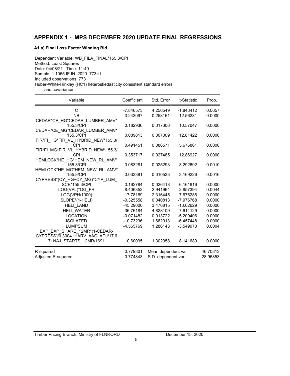#### **APPENDIX 1 - MPS DECEMBER 2020 UPDATE FINAL REGRESSIONS**

#### **A1.a) Final Loss Factor Winning Bid**

Dependent Variable: WB\_FILA\_FINAL\*155.3/CPI Method: Least Squares Date: 04/08/21 Time: 11:49 Sample: 1 1065 IF IN\_2020\_773=1 Included observations: 773 Huber-White-Hinkley (HC1) heteroskedasticity consistent standard errors and covariance

| Variable                           | Coefficient | Std. Error         | t-Statistic | Prob.    |
|------------------------------------|-------------|--------------------|-------------|----------|
| C                                  | -7.846573   | 4.256549           | $-1.843412$ | 0.0657   |
| <b>NB</b>                          | 3.243097    | 0.258161           | 12.56231    | 0.0000   |
| CEDAR*CE HG*CEDAR LUMBER AMV*      |             |                    |             |          |
| 155.3/CPI                          | 0.182936    | 0.017306           | 10.57047    | 0.0000   |
| CEDAR*CE MG*CEDAR LUMBER AMV*      |             |                    |             |          |
| 155.3/CPI                          | 0.089813    | 0.007009           | 12.81422    | 0.0000   |
| FIR*FI HG*FIR VL HYBRID NEW*155.3/ |             |                    |             |          |
| <b>CPI</b>                         | 0.491451    | 0.086571           | 5.676861    | 0.0000   |
| FIR*FI MG*FIR VL HYBRID NEW*155.3/ |             |                    |             |          |
| CPI                                | 0.353717    | 0.027485           | 12.86927    | 0.0000   |
| HEMLOCK*HE_HG*HEM_NEW_RL_AMV*      |             |                    |             |          |
| 155.3/CPI                          | 0.083281    | 0.025293           | 3.292692    | 0.0010   |
| HEMLOCK*HE_MG*HEM_NEW_RL_AMV*      |             |                    |             |          |
| 155.3/CPI                          | 0.033381    | 0.010533           | 3.169226    | 0.0016   |
| CYPRESS*(CY HG+CY MG)*CYP LUM      |             |                    |             |          |
| SCE*155.3/CPI                      | 0.162784    | 0.026418           | 6.161816    | 0.0000   |
| LOG(VPL)*OG FR                     | 8.406352    | 2.941964           | 2.857394    | 0.0044   |
| LOG(VPH/1000)                      | 17.78169    | 2.316445           | 7.676286    | 0.0000   |
| SLOPE*(1-HELI)                     | $-0.325558$ | 0.040813           | -7.976768   | 0.0000   |
| <b>HELI LAND</b>                   | $-45.29000$ | 3.476815           | $-13.02629$ | 0.0000   |
| <b>HELI WATER</b>                  | -36.76184   | 4.828109           | $-7.614129$ | 0.0000   |
| <b>LOCATION</b>                    | $-0.071482$ | 0.013722           | $-5.209406$ | 0.0000   |
| <b>ISOLATED</b>                    | -10.73236   | 1.662013           | $-6.457448$ | 0.0000   |
| <b>LUMPSUM</b>                     | -4.565769   | 1.286143           | $-3.549970$ | 0.0004   |
| EXP_EXP_SHARE_12MR*(1-CEDAR-       |             |                    |             |          |
| CYPRESS)/0.3004+HARV AAC ADJ/17.6  |             |                    |             |          |
| 7+NAJ_STARTS_12MR/1691             | 10.60095    | 1.302058           | 8.141689    | 0.0000   |
| R-squared                          | 0.779801    | Mean dependent var |             | 46.70813 |
| Adjusted R-squared                 | 0.774843    | S.D. dependent var |             | 28.95853 |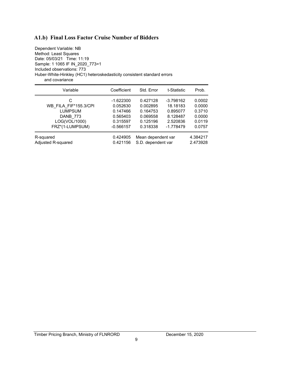#### **A1.b) Final Loss Factor Cruise Number of Bidders**

Dependent Variable: NB Method: Least Squares Date: 05/03/21 Time: 11:19 Sample: 1 1065 IF IN\_2020\_773=1 Included observations: 773 Huber-White-Hinkley (HC1) heteroskedasticity consistent standard errors and covariance

| Variable                  | Coefficient | Std. Error         | t-Statistic | Prob.    |
|---------------------------|-------------|--------------------|-------------|----------|
| C                         | $-1.622300$ | 0.427128           | $-3.798162$ | 0.0002   |
| WB FILA FIF*155.3/CPI     | 0.052630    | 0.002895           | 18.18183    | 0.0000   |
| <b>LUMPSUM</b>            | 0.147466    | 0.164753           | 0.895077    | 0.3710   |
| DANB 773                  | 0.565403    | 0.069558           | 8.128487    | 0.0000   |
| LOG(VOL/1000)             | 0.315597    | 0.125196           | 2.520836    | 0.0119   |
| FRZ*(1-LUMPSUM)           | $-0.566157$ | 0.318338           | $-1.778479$ | 0.0757   |
| R-squared                 | 0.424905    | Mean dependent var |             | 4.384217 |
| <b>Adjusted R-squared</b> | 0.421156    | S.D. dependent var |             | 2.473928 |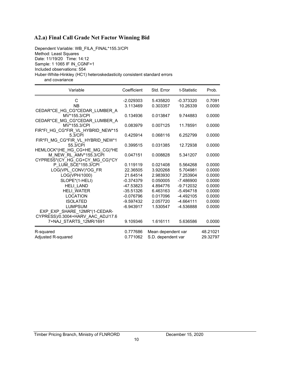#### **A2.a) Final Call Grade Net Factor Winning Bid**

Dependent Variable: WB\_FILA\_FINAL\*155.3/CPI Method: Least Squares Date: 11/19/20 Time: 14:12 Sample: 1 1065 IF IN\_CGNF=1 Included observations: 554 Huber-White-Hinkley (HC1) heteroskedasticity consistent standard errors and covariance

| Variable                                                 | Coefficient | Std. Error         | t-Statistic | Prob.    |
|----------------------------------------------------------|-------------|--------------------|-------------|----------|
| C                                                        | $-2.029303$ | 5.435820           | $-0.373320$ | 0.7091   |
| <b>NB</b>                                                | 3.113469    | 0.303357           | 10.26339    | 0.0000   |
| CEDAR*CE_HG_CG*CEDAR_LUMBER_A                            |             |                    |             |          |
| MV*155.3/CPI                                             | 0.134936    | 0.013847           | 9.744883    | 0.0000   |
| CEDAR*CE_MG_CG*CEDAR_LUMBER_A                            |             |                    |             |          |
| MV*155.3/CPI                                             | 0.083979    | 0.007125           | 11.78591    | 0.0000   |
| FIR*FI HG CG*FIR VL HYBRID NEW*15                        |             |                    |             |          |
| 5.3/CPI                                                  | 0.425914    | 0.068116           | 6.252799    | 0.0000   |
| FIR*FI MG CG*FIR VL HYBRID NEW*1                         |             |                    |             |          |
| 55.3/CPI                                                 | 0.399515    | 0.031385           | 12.72938    | 0.0000   |
| HEMLOCK*(HE_HG_CG+HE_MG_CG)*HE<br>M NEW RL AMV*155.3/CPI | 0.047151    | 0.008828           | 5.341207    | 0.0000   |
| CYPRESS*(CY_HG_CG+CY_MG_CG)*CY                           |             |                    |             |          |
| P LUM SCE*155.3/CPI                                      | 0.119119    | 0.021408           | 5.564268    | 0.0000   |
| LOG(VPL_CONV)*OG_FR                                      | 22.36505    | 3.920268           | 5.704981    | 0.0000   |
| LOG(VPH/1000)                                            | 21.64514    | 2.983930           | 7.253904    | 0.0000   |
|                                                          |             |                    |             | 0.0000   |
| SLOPE*(1-HELI)                                           | $-0.374379$ | 0.050005           | $-7.486900$ |          |
| <b>HELI LAND</b>                                         | -47.53823   | 4.894776           | $-9.712032$ | 0.0000   |
| HELI_WATER                                               | $-35.51326$ | 6.463163           | $-5.494718$ | 0.0000   |
| <b>LOCATION</b>                                          | $-0.076796$ | 0.017096           | $-4.492105$ | 0.0000   |
| <b>ISOLATED</b>                                          | $-9.597432$ | 2.057720           | $-4.664111$ | 0.0000   |
| <b>LUMPSUM</b>                                           | -6.943917   | 1.530547           | -4.536888   | 0.0000   |
| EXP_EXP_SHARE_12MR*(1-CEDAR-                             |             |                    |             |          |
| CYPRESS)/0.3004+HARV AAC ADJ/17.6                        |             |                    |             |          |
| 7+NAJ STARTS 12MR/1691                                   | 9.109346    | 1.616111           | 5.636586    | 0.0000   |
| R-squared                                                | 0.777686    | Mean dependent var |             | 48.21021 |
| Adjusted R-squared                                       | 0.771062    | S.D. dependent var |             | 29.32797 |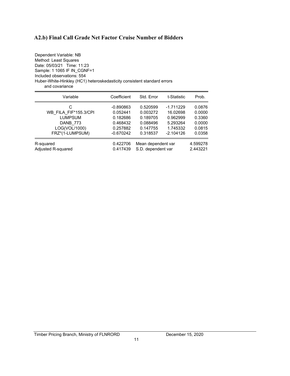# **A2.b) Final Call Grade Net Factor Cruise Number of Bidders**

| Dependent Variable: NB                                                  |
|-------------------------------------------------------------------------|
| Method: Least Squares                                                   |
| Date: 05/03/21 Time: 11:23                                              |
| Sample: 1 1065 IF IN CGNF=1                                             |
| Included observations: 554                                              |
| Huber-White-Hinkley (HC1) heteroskedasticity consistent standard errors |
| and covariance                                                          |

| Variable              | Coefficient | Std. Error         | t-Statistic | Prob.    |
|-----------------------|-------------|--------------------|-------------|----------|
| C                     | $-0.890863$ | 0.520599           | $-1.711229$ | 0.0876   |
| WB FILA FIF*155.3/CPI | 0.052441    | 0.003272           | 16.02698    | 0.0000   |
| <b>LUMPSUM</b>        | 0.182686    | 0.189705           | 0.962999    | 0.3360   |
| DANB 773              | 0.468432    | 0.088496           | 5.293264    | 0.0000   |
| LOG(VOL/1000)         | 0.257882    | 0.147755           | 1.745332    | 0.0815   |
| FRZ*(1-LUMPSUM)       | $-0.670242$ | 0.318537           | $-2.104126$ | 0.0358   |
| R-squared             | 0.422706    | Mean dependent var |             | 4.599278 |
| Adjusted R-squared    | 0.417439    | S.D. dependent var |             | 2.443221 |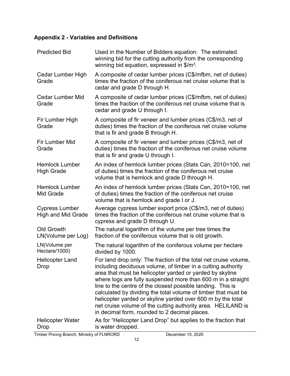# **Appendix 2 - Variables and Definitions**

| <b>Predicted Bid</b>                               | Used in the Number of Bidders equation: The estimated<br>winning bid for the cutting authority from the corresponding<br>winning bid equation, expressed in $\frac{m^3}{2}$ .                                                                                                                                                                                                                                                                                                                                                                                                 |
|----------------------------------------------------|-------------------------------------------------------------------------------------------------------------------------------------------------------------------------------------------------------------------------------------------------------------------------------------------------------------------------------------------------------------------------------------------------------------------------------------------------------------------------------------------------------------------------------------------------------------------------------|
| Cedar Lumber High<br>Grade                         | A composite of cedar lumber prices (C\$/mfbm, net of duties)<br>times the fraction of the coniferous net cruise volume that is<br>cedar and grade D through H.                                                                                                                                                                                                                                                                                                                                                                                                                |
| <b>Cedar Lumber Mid</b><br>Grade                   | A composite of cedar lumber prices (C\$/mfbm, net of duties)<br>times the fraction of the coniferous net cruise volume that is<br>cedar and grade U through I.                                                                                                                                                                                                                                                                                                                                                                                                                |
| Fir Lumber High<br>Grade                           | A composite of fir veneer and lumber prices (C\$/m3, net of<br>duties) times the fraction of the coniferous net cruise volume<br>that is fir and grade B through H.                                                                                                                                                                                                                                                                                                                                                                                                           |
| Fir Lumber Mid<br>Grade                            | A composite of fir veneer and lumber prices (C\$/m3, net of<br>duties) times the fraction of the coniferous net cruise volume<br>that is fir and grade U through I.                                                                                                                                                                                                                                                                                                                                                                                                           |
| <b>Hemlock Lumber</b><br><b>High Grade</b>         | An index of hemlock lumber prices (Stats Can, 2010=100, net<br>of duties) times the fraction of the coniferous net cruise<br>volume that is hemlock and grade D through H.                                                                                                                                                                                                                                                                                                                                                                                                    |
| <b>Hemlock Lumber</b><br>Mid Grade                 | An index of hemlock lumber prices (Stats Can, 2010=100, net<br>of duties) times the fraction of the coniferous net cruise<br>volume that is hemlock and grade I or J.                                                                                                                                                                                                                                                                                                                                                                                                         |
| <b>Cypress Lumber</b><br><b>High and Mid Grade</b> | Average cypress lumber export price (C\$/m3, net of duties)<br>times the fraction of the coniferous net cruise volume that is<br>cypress and grade D through U.                                                                                                                                                                                                                                                                                                                                                                                                               |
| <b>Old Growth</b><br>LN(Volume per Log)            | The natural logarithm of the volume per tree times the<br>fraction of the coniferous volume that is old growth.                                                                                                                                                                                                                                                                                                                                                                                                                                                               |
| LN(Volume per<br>Hectare/1000)                     | The natural logarithm of the coniferous volume per hectare<br>divided by 1000.                                                                                                                                                                                                                                                                                                                                                                                                                                                                                                |
| <b>Helicopter Land</b><br>Drop                     | For land drop only: The fraction of the total net cruise volume,<br>including deciduous volume, of timber in a cutting authority<br>area that must be helicopter yarded or yarded by skyline<br>where logs are fully suspended more than 600 m in a straight<br>line to the centre of the closest possible landing. This is<br>calculated by dividing the total volume of timber that must be<br>helicopter yarded or skyline yarded over 600 m by the total<br>net cruise volume of the cutting authority area. HELILAND is<br>in decimal form, rounded to 2 decimal places. |
| <b>Helicopter Water</b><br>Drop                    | As for "Helicopter Land Drop" but applies to the fraction that<br>is water dropped.                                                                                                                                                                                                                                                                                                                                                                                                                                                                                           |

Timber Pricing Branch, Ministry of FLNRORD December 15, 2020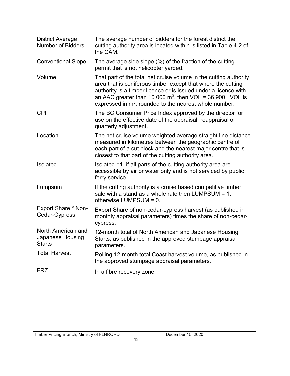| <b>District Average</b><br><b>Number of Bidders</b>     | The average number of bidders for the forest district the<br>cutting authority area is located within is listed in Table 4-2 of<br>the CAM.                                                                                                                                                                                      |
|---------------------------------------------------------|----------------------------------------------------------------------------------------------------------------------------------------------------------------------------------------------------------------------------------------------------------------------------------------------------------------------------------|
| <b>Conventional Slope</b>                               | The average side slope (%) of the fraction of the cutting<br>permit that is not helicopter yarded.                                                                                                                                                                                                                               |
| Volume                                                  | That part of the total net cruise volume in the cutting authority<br>area that is coniferous timber except that where the cutting<br>authority is a timber licence or is issued under a licence with<br>an AAC greater than 10 000 $m^3$ , then VOL = 36,900. VOL is<br>expressed in $m3$ , rounded to the nearest whole number. |
| <b>CPI</b>                                              | The BC Consumer Price Index approved by the director for<br>use on the effective date of the appraisal, reappraisal or<br>quarterly adjustment.                                                                                                                                                                                  |
| Location                                                | The net cruise volume weighted average straight line distance<br>measured in kilometres between the geographic centre of<br>each part of a cut block and the nearest major centre that is<br>closest to that part of the cutting authority area.                                                                                 |
| Isolated                                                | Isolated =1, if all parts of the cutting authority area are<br>accessible by air or water only and is not serviced by public<br>ferry service.                                                                                                                                                                                   |
| Lumpsum                                                 | If the cutting authority is a cruise based competitive timber<br>sale with a stand as a whole rate then LUMPSUM = $1$ ,<br>otherwise LUMPSUM = 0.                                                                                                                                                                                |
| <b>Export Share * Non-</b><br>Cedar-Cypress             | Export Share of non-cedar-cypress harvest (as published in<br>monthly appraisal parameters) times the share of non-cedar-<br>cypress.                                                                                                                                                                                            |
| North American and<br>Japanese Housing<br><b>Starts</b> | 12-month total of North American and Japanese Housing<br>Starts, as published in the approved stumpage appraisal<br>parameters.                                                                                                                                                                                                  |
| <b>Total Harvest</b>                                    | Rolling 12-month total Coast harvest volume, as published in<br>the approved stumpage appraisal parameters.                                                                                                                                                                                                                      |
| <b>FRZ</b>                                              | In a fibre recovery zone.                                                                                                                                                                                                                                                                                                        |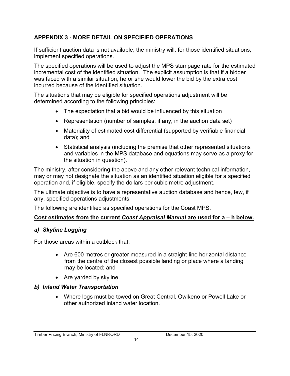# **APPENDIX 3 - MORE DETAIL ON SPECIFIED OPERATIONS**

If sufficient auction data is not available, the ministry will, for those identified situations, implement specified operations.

The specified operations will be used to adjust the MPS stumpage rate for the estimated incremental cost of the identified situation. The explicit assumption is that if a bidder was faced with a similar situation, he or she would lower the bid by the extra cost incurred because of the identified situation.

The situations that may be eligible for specified operations adjustment will be determined according to the following principles:

- The expectation that a bid would be influenced by this situation
- Representation (number of samples, if any, in the auction data set)
- Materiality of estimated cost differential (supported by verifiable financial data); and
- Statistical analysis (including the premise that other represented situations and variables in the MPS database and equations may serve as a proxy for the situation in question).

The ministry, after considering the above and any other relevant technical information, may or may not designate the situation as an identified situation eligible for a specified operation and, if eligible, specify the dollars per cubic metre adjustment.

The ultimate objective is to have a representative auction database and hence, few, if any, specified operations adjustments.

The following are identified as specified operations for the Coast MPS.

# **Cost estimates from the current** *Coast Appraisal Manual* **are used for a – h below.**

# *a) Skyline Logging*

For those areas within a cutblock that:

- Are 600 metres or greater measured in a straight-line horizontal distance from the centre of the closest possible landing or place where a landing may be located; and
- Are yarded by skyline.

# *b) Inland Water Transportation*

• Where logs must be towed on Great Central, Owikeno or Powell Lake or other authorized inland water location.